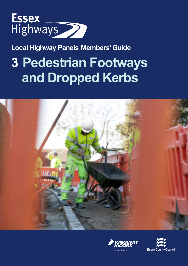

**Local Highway Panels Members' Guide**

# **3 Pedestrian Footways and Dropped Kerbs**





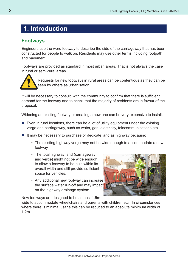# **1. Introduction**

#### **Footways**

Engineers use the word footway to describe the side of the carriageway that has been constructed for people to walk on. Residents may use other terms including footpath and pavement.

Footways are provided as standard in most urban areas. That is not always the case in rural or semi-rural areas.



Requests for new footways in rural areas can be contentious as they can be seen by others as urbanisation.

It will be necessary to consult with the community to confirm that there is sufficient demand for the footway and to check that the majority of residents are in favour of the proposal.

Widening an existing footway or creating a new one can be very expensive to install.

- Even in rural locations, there can be a lot of utility equipment under the existing verge and carriageway, such as water, gas, electricity, telecommunications etc.
- $\blacksquare$  It may be necessary to purchase or dedicate land as highway because:
	- The existing highway verge may not be wide enough to accommodate a new footway.
	- The total highway land (carriageway and verge) might not be wide enough to allow a footway to be built within its overall width and still provide sufficient space for vehicles.
	- Any additional new footway can increase the surface water run-off and may impact on the highway drainage system.



New footways are designed to be at least 1.5m

wide to accommodate wheelchairs and parents with children etc. In circumstances where there is minimal usage this can be reduced to an absolute minimum width of 1.2m.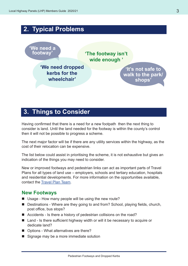# **2. Typical Problems 'We need a footway' 'We need dropped kerbs for the wheelchair' 'The footway isn't wide enough ' 'It's not safe to walk to the park/ shops'**

# **3. Things to Consider**

Having confirmed that there is a need for a new footpath then the next thing to consider is land. Until the land needed for the footway is within the county's control then it will not be possible to progress a scheme.

The next major factor will be if there are any utility services within the highway, as the cost of their relocation can be expensive.

The list below could assist in prioritising the scheme, it is not exhaustive but gives an indication of the things you may need to consider.

New or improved footways and pedestrian links can act as important parts of Travel Plans for all types of land use – employers, schools and tertiary education, hospitals and residential developments. For more information on the opportunities available, contact the [Travel Plan Team](mailto:travelplanteam%40essex.gov.uk?subject=).

#### **New Footways**

- Usage How many people will be using the new route?
- Destinations Where are they going to and from? School, playing fields, church, post office, bus stops?
- Accidents Is there a history of pedestrian collisions on the road?
- Land Is there sufficient highway width or will it be necessary to acquire or dedicate land?
- Options What alternatives are there?
- Signage may be a more immediate solution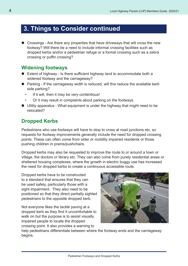# **3. Things to Consider continued**

■ Crossings - Are there any properties that have driveways that will cross the new footway? Will there be a need to include informal crossing facilities such as dropped kerbs and/or a pedestrian refuge or a formal crossing such as a zebra crossing or puffin crossing?

#### **Widening footways**

- Extent of highway Is there sufficient highway land to accommodate both a widened footway and the carriageway?
- $\blacksquare$  Parking If the carriageway width is reduced, will this reduce the available kerb side parking?
	- If it will, then it may be very contentious!
	- Or it may result in complaints about parking on the footways.
- Utility apparatus What equipment is under the highway that might need to be relocated?

### **Dropped Kerbs**

Pedestrians who use footways will have to stop to cross at road junctions etc. so requests for footway improvements generally include the need for dropped crossing points. These can often come from older or mobility impaired residents or those pushing children in prams/pushchairs.

Dropped kerbs may also be requested to improve the route to or around a town or village, the doctors or library etc. They can also come from purely residential areas or sheltered housing complexes, where the growth in electric buggy use has increased the need for dropped kerbs to create a continuous accessible route.

Dropped kerbs have to be constructed to a standard that ensures that they can be used safely, particularly those with a sight impairment. They also need to be positioned so that they direct partially sighted pedestrians to the opposite dropped kerb.

Not everyone likes the tactile paving at a dropped kerb as they find it uncomfortable to walk on but the purpose is to assist visually impaired people to locate the dropped crossing point. It also provides a warning to



help pedestrians differentiate between where the footway ends and the carriageway begins.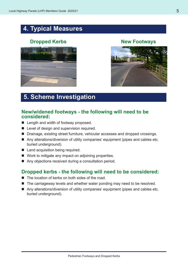# **4. Typical Measures**

## **Dropped Kerbs New Footways**





# **5. Scheme Investigation**

#### **New/widened footways - the following will need to be considered:**

- **Length and width of footway proposed.**
- **Level of design and supervision required.**
- Drainage, existing street furniture, vehicular accesses and dropped crossings.
- Any alterations/diversion of utility companies' equipment (pipes and cables etc. buried underground).
- Land acquisition being required.
- Work to mitigate any impact on adjoining properties.
- Any objections received during a consultation period.

#### **Dropped kerbs - the following will need to be considered:**

- The location of kerbs on both sides of the road.
- The carriageway levels and whether water ponding may need to be resolved.
- Any alterations/diversion of utility companies' equipment (pipes and cables etc. buried underground).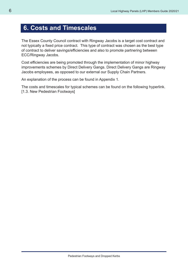# **6. Costs and Timescales**

The Essex County Council contract with Ringway Jacobs is a target cost contract and not typically a fixed price contract. This type of contract was chosen as the best type of contract to deliver savings/efficiencies and also to promote partnering between ECC/Ringway Jacobs.

Cost efficiencies are being promoted through the implementation of minor highway improvements schemes by Direct Delivery Gangs. Direct Delivery Gangs are Ringway Jacobs employees, as opposed to our external our Supply Chain Partners.

An explanation of the process can be found in Appendix 1.

The costs and timescales for typical schemes can be found on the following hyperlink. [1.3. New Pedestrian Footways]